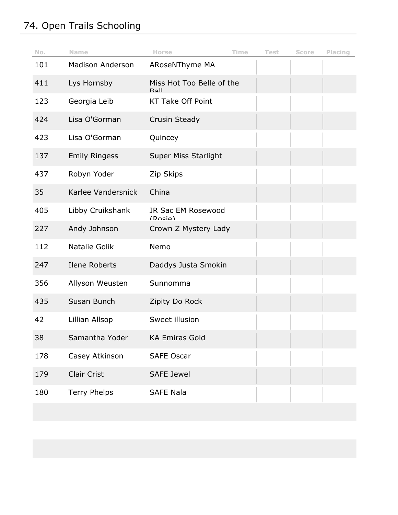# 74. Open Trails Schooling

| No. | <b>Name</b>             | <b>Horse</b>                         | Time | <b>Test</b> | Score | Placing |
|-----|-------------------------|--------------------------------------|------|-------------|-------|---------|
| 101 | <b>Madison Anderson</b> | ARoseNThyme MA                       |      |             |       |         |
| 411 | Lys Hornsby             | Miss Hot Too Belle of the<br>$R2$ II |      |             |       |         |
| 123 | Georgia Leib            | <b>KT Take Off Point</b>             |      |             |       |         |
| 424 | Lisa O'Gorman           | Crusin Steady                        |      |             |       |         |
| 423 | Lisa O'Gorman           | Quincey                              |      |             |       |         |
| 137 | <b>Emily Ringess</b>    | <b>Super Miss Starlight</b>          |      |             |       |         |
| 437 | Robyn Yoder             | Zip Skips                            |      |             |       |         |
| 35  | Karlee Vandersnick      | China                                |      |             |       |         |
| 405 | Libby Cruikshank        | JR Sac EM Rosewood<br>(Dncia)        |      |             |       |         |
| 227 | Andy Johnson            | Crown Z Mystery Lady                 |      |             |       |         |
| 112 | Natalie Golik           | Nemo                                 |      |             |       |         |
| 247 | Ilene Roberts           | Daddys Justa Smokin                  |      |             |       |         |
| 356 | Allyson Weusten         | Sunnomma                             |      |             |       |         |
| 435 | Susan Bunch             | Zipity Do Rock                       |      |             |       |         |
| 42  | Lillian Allsop          | Sweet illusion                       |      |             |       |         |
| 38  | Samantha Yoder          | <b>KA Emiras Gold</b>                |      |             |       |         |
| 178 | Casey Atkinson          | <b>SAFE Oscar</b>                    |      |             |       |         |
| 179 | <b>Clair Crist</b>      | <b>SAFE Jewel</b>                    |      |             |       |         |
| 180 | <b>Terry Phelps</b>     | <b>SAFE Nala</b>                     |      |             |       |         |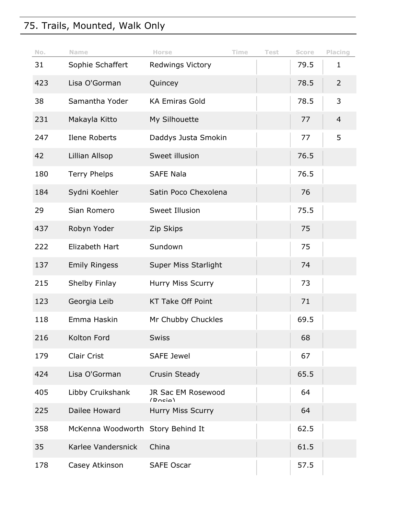# 75. Trails, Mounted, Walk Only

| No. | Name                              | Horse                         | Time | <b>Test</b> | Score | Placing        |
|-----|-----------------------------------|-------------------------------|------|-------------|-------|----------------|
| 31  | Sophie Schaffert                  | <b>Redwings Victory</b>       |      |             | 79.5  | $\mathbf{1}$   |
| 423 | Lisa O'Gorman                     | Quincey                       |      |             | 78.5  | $\overline{2}$ |
| 38  | Samantha Yoder                    | <b>KA Emiras Gold</b>         |      |             | 78.5  | 3              |
| 231 | Makayla Kitto                     | My Silhouette                 |      |             | 77    | $\overline{4}$ |
| 247 | Ilene Roberts                     | Daddys Justa Smokin           |      |             | 77    | 5              |
| 42  | Lillian Allsop                    | Sweet illusion                |      |             | 76.5  |                |
| 180 | <b>Terry Phelps</b>               | <b>SAFE Nala</b>              |      |             | 76.5  |                |
| 184 | Sydni Koehler                     | Satin Poco Chexolena          |      |             | 76    |                |
| 29  | Sian Romero                       | Sweet Illusion                |      |             | 75.5  |                |
| 437 | Robyn Yoder                       | Zip Skips                     |      |             | 75    |                |
| 222 | Elizabeth Hart                    | Sundown                       |      |             | 75    |                |
| 137 | <b>Emily Ringess</b>              | <b>Super Miss Starlight</b>   |      |             | 74    |                |
| 215 | Shelby Finlay                     | Hurry Miss Scurry             |      |             | 73    |                |
| 123 | Georgia Leib                      | <b>KT Take Off Point</b>      |      |             | 71    |                |
| 118 | Emma Haskin                       | Mr Chubby Chuckles            |      |             | 69.5  |                |
| 216 | Kolton Ford                       | <b>Swiss</b>                  |      |             | 68    |                |
| 179 | Clair Crist                       | <b>SAFE Jewel</b>             |      |             | 67    |                |
| 424 | Lisa O'Gorman                     | Crusin Steady                 |      |             | 65.5  |                |
| 405 | Libby Cruikshank                  | JR Sac EM Rosewood<br>(Dncia) |      |             | 64    |                |
| 225 | Dailee Howard                     | Hurry Miss Scurry             |      |             | 64    |                |
| 358 | McKenna Woodworth Story Behind It |                               |      |             | 62.5  |                |
| 35  | Karlee Vandersnick                | China                         |      |             | 61.5  |                |
| 178 | Casey Atkinson                    | <b>SAFE Oscar</b>             |      |             | 57.5  |                |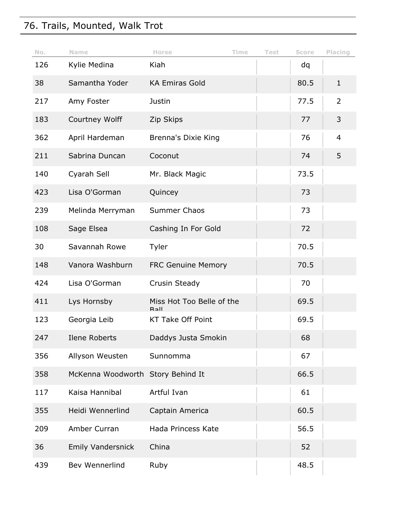# 76. Trails, Mounted, Walk Trot

| No. | <b>Name</b>                       | Horse                                | Time | <b>Test</b> | Score | Placing        |
|-----|-----------------------------------|--------------------------------------|------|-------------|-------|----------------|
| 126 | Kylie Medina                      | Kiah                                 |      |             | dq    |                |
| 38  | Samantha Yoder                    | <b>KA Emiras Gold</b>                |      |             | 80.5  | $\mathbf{1}$   |
| 217 | Amy Foster                        | Justin                               |      |             | 77.5  | 2              |
| 183 | Courtney Wolff                    | Zip Skips                            |      |             | 77    | 3              |
| 362 | April Hardeman                    | Brenna's Dixie King                  |      |             | 76    | $\overline{4}$ |
| 211 | Sabrina Duncan                    | Coconut                              |      |             | 74    | 5              |
| 140 | Cyarah Sell                       | Mr. Black Magic                      |      |             | 73.5  |                |
| 423 | Lisa O'Gorman                     | Quincey                              |      |             | 73    |                |
| 239 | Melinda Merryman                  | Summer Chaos                         |      |             | 73    |                |
| 108 | Sage Elsea                        | Cashing In For Gold                  |      |             | 72    |                |
| 30  | Savannah Rowe                     | Tyler                                |      |             | 70.5  |                |
| 148 | Vanora Washburn                   | <b>FRC Genuine Memory</b>            |      |             | 70.5  |                |
| 424 | Lisa O'Gorman                     | Crusin Steady                        |      |             | 70    |                |
| 411 | Lys Hornsby                       | Miss Hot Too Belle of the<br>$R2$ II |      |             | 69.5  |                |
| 123 | Georgia Leib                      | <b>KT Take Off Point</b>             |      |             | 69.5  |                |
| 247 | Ilene Roberts                     | Daddys Justa Smokin                  |      |             | 68    |                |
| 356 | Allyson Weusten                   | Sunnomma                             |      |             | 67    |                |
| 358 | McKenna Woodworth Story Behind It |                                      |      |             | 66.5  |                |
| 117 | Kaisa Hannibal                    | Artful Ivan                          |      |             | 61    |                |
| 355 | Heidi Wennerlind                  | Captain America                      |      |             | 60.5  |                |
| 209 | Amber Curran                      | Hada Princess Kate                   |      |             | 56.5  |                |
| 36  | <b>Emily Vandersnick</b>          | China                                |      |             | 52    |                |
| 439 | Bev Wennerlind                    | Ruby                                 |      |             | 48.5  |                |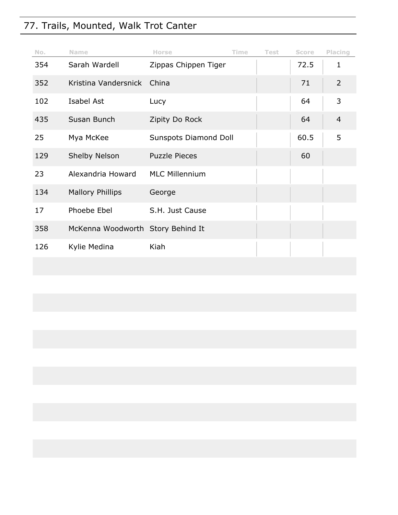# 77. Trails, Mounted, Walk Trot Canter

| No. | <b>Name</b>                       | <b>Horse</b>          | Time | <b>Test</b> | <b>Score</b> | Placing        |
|-----|-----------------------------------|-----------------------|------|-------------|--------------|----------------|
| 354 | Sarah Wardell                     | Zippas Chippen Tiger  |      |             | 72.5         | $\mathbf 1$    |
| 352 | Kristina Vandersnick              | China                 |      |             | 71           | $\overline{2}$ |
| 102 | Isabel Ast                        | Lucy                  |      |             | 64           | 3              |
| 435 | Susan Bunch                       | Zipity Do Rock        |      |             | 64           | 4              |
| 25  | Mya McKee                         | Sunspots Diamond Doll |      |             | 60.5         | 5              |
| 129 | <b>Shelby Nelson</b>              | <b>Puzzle Pieces</b>  |      |             | 60           |                |
| 23  | Alexandria Howard                 | <b>MLC Millennium</b> |      |             |              |                |
| 134 | <b>Mallory Phillips</b>           | George                |      |             |              |                |
| 17  | Phoebe Ebel                       | S.H. Just Cause       |      |             |              |                |
| 358 | McKenna Woodworth Story Behind It |                       |      |             |              |                |
| 126 | Kylie Medina                      | Kiah                  |      |             |              |                |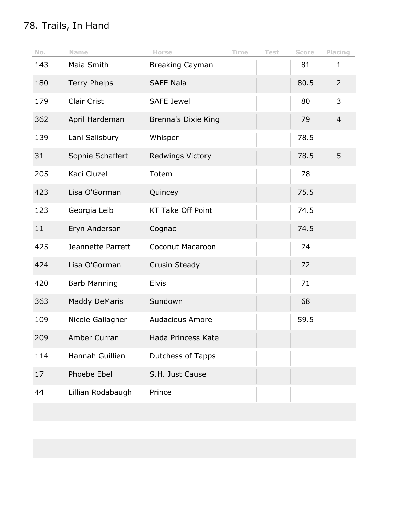# 78. Trails, In Hand

| No. | Name                 | Horse                      | Time | <b>Test</b> | Score | Placing        |
|-----|----------------------|----------------------------|------|-------------|-------|----------------|
| 143 | Maia Smith           | <b>Breaking Cayman</b>     |      |             | 81    | $\mathbf 1$    |
| 180 | <b>Terry Phelps</b>  | <b>SAFE Nala</b>           |      |             | 80.5  | $\overline{2}$ |
| 179 | <b>Clair Crist</b>   | <b>SAFE Jewel</b>          |      |             | 80    | 3              |
| 362 | April Hardeman       | <b>Brenna's Dixie King</b> |      |             | 79    | $\overline{4}$ |
| 139 | Lani Salisbury       | Whisper                    |      |             | 78.5  |                |
| 31  | Sophie Schaffert     | <b>Redwings Victory</b>    |      |             | 78.5  | 5              |
| 205 | Kaci Cluzel          | Totem                      |      |             | 78    |                |
| 423 | Lisa O'Gorman        | Quincey                    |      |             | 75.5  |                |
| 123 | Georgia Leib         | <b>KT Take Off Point</b>   |      |             | 74.5  |                |
| 11  | Eryn Anderson        | Cognac                     |      |             | 74.5  |                |
| 425 | Jeannette Parrett    | Coconut Macaroon           |      |             | 74    |                |
| 424 | Lisa O'Gorman        | Crusin Steady              |      |             | 72    |                |
| 420 | <b>Barb Manning</b>  | <b>Elvis</b>               |      |             | 71    |                |
| 363 | <b>Maddy DeMaris</b> | Sundown                    |      |             | 68    |                |
| 109 | Nicole Gallagher     | <b>Audacious Amore</b>     |      |             | 59.5  |                |
| 209 | Amber Curran         | Hada Princess Kate         |      |             |       |                |
| 114 | Hannah Guillien      | <b>Dutchess of Tapps</b>   |      |             |       |                |
| 17  | Phoebe Ebel          | S.H. Just Cause            |      |             |       |                |
| 44  | Lillian Rodabaugh    | Prince                     |      |             |       |                |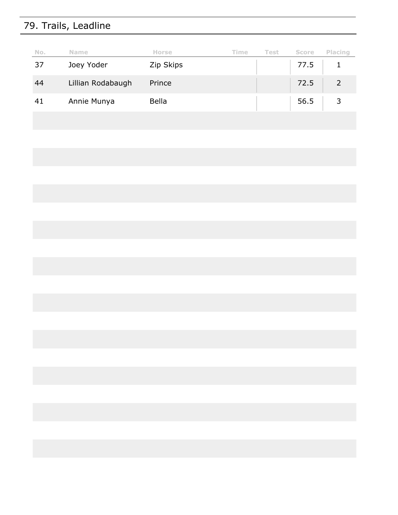# 79. Trails, Leadline

| No. | <b>Name</b>       | <b>Horse</b> | Time | Test | <b>Score</b> | Placing |
|-----|-------------------|--------------|------|------|--------------|---------|
| 37  | Joey Yoder        | Zip Skips    |      |      | 77.5         |         |
| 44  | Lillian Rodabaugh | Prince       |      |      | 72.5         |         |
| 41  | Annie Munya       | <b>Bella</b> |      |      | 56.5         |         |